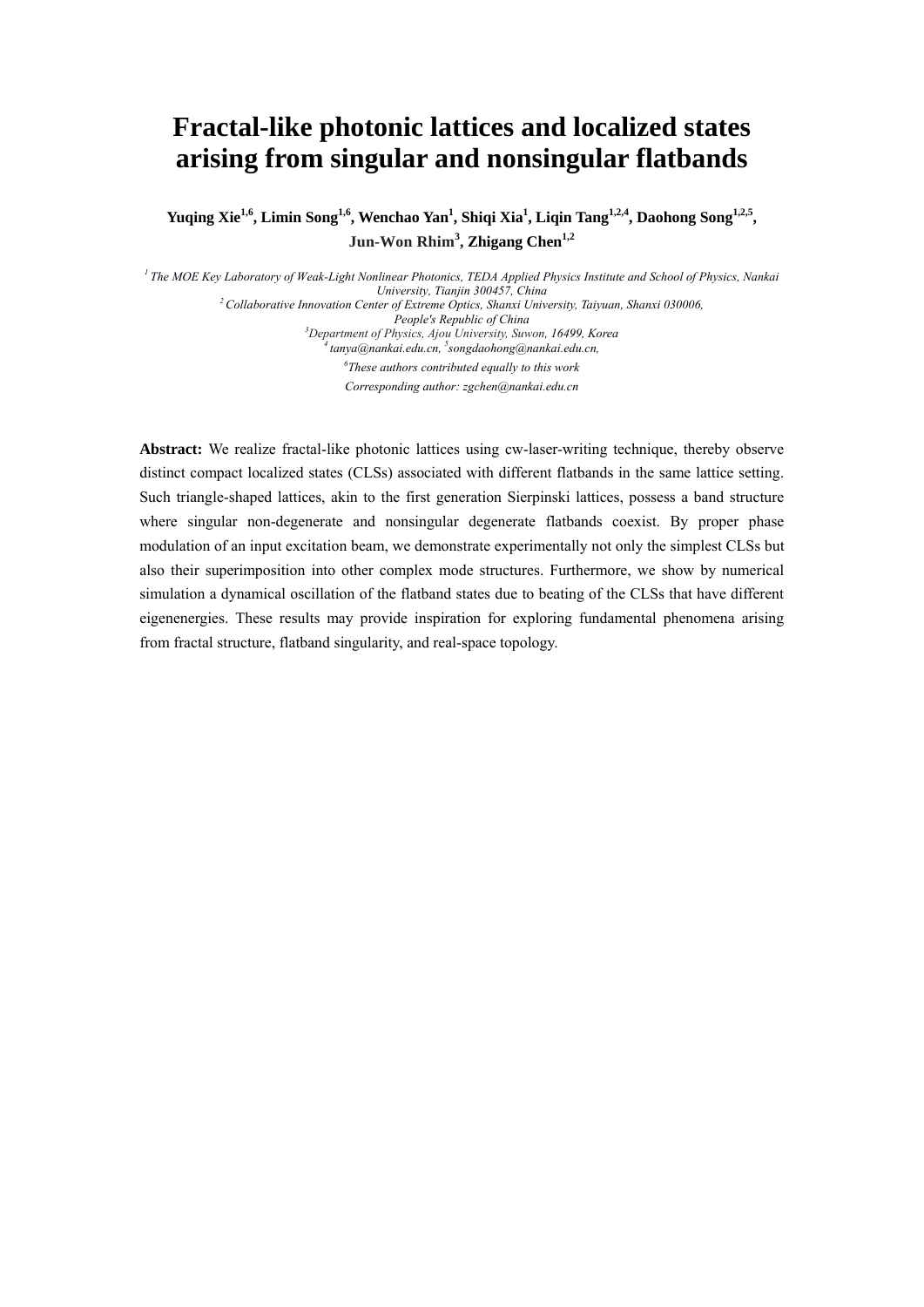# **Fractal-like photonic lattices and localized states arising from singular and nonsingular flatbands**

**Yuqing Xie1,6, Limin Song1,6, Wenchao Yan1 , Shiqi Xia<sup>1</sup> , Liqin Tang1,2,4, Daohong Song1,2,5, Jun-Won Rhim<sup>3</sup> , Zhigang Chen1,2**

*1 The MOE Key Laboratory of Weak-Light Nonlinear Photonics, TEDA Applied Physics Institute and School of Physics, Nankai University, Tianjin 300457, China*<br><sup>2</sup> Collaborative Innovation Center of Extreme Optics, Shanxi University, Taiyuan, Shanxi 030006,<br>People's Republic of China *People's Republic of China 3 Department of Physics, Ajou University, Suwon, 16499, Korea* 4 tanya@nankai.edu.cn, *songdaohong@nankai.edu.cn, 6 These authors contributed equally to this work Corresponding author: zgchen@nankai.edu.cn* 

**Abstract:** We realize fractal-like photonic lattices using cw-laser-writing technique, thereby observe distinct compact localized states (CLSs) associated with different flatbands in the same lattice setting. Such triangle-shaped lattices, akin to the first generation Sierpinski lattices, possess a band structure where singular non-degenerate and nonsingular degenerate flatbands coexist. By proper phase modulation of an input excitation beam, we demonstrate experimentally not only the simplest CLSs but also their superimposition into other complex mode structures. Furthermore, we show by numerical simulation a dynamical oscillation of the flatband states due to beating of the CLSs that have different eigenenergies. These results may provide inspiration for exploring fundamental phenomena arising from fractal structure, flatband singularity, and real-space topology.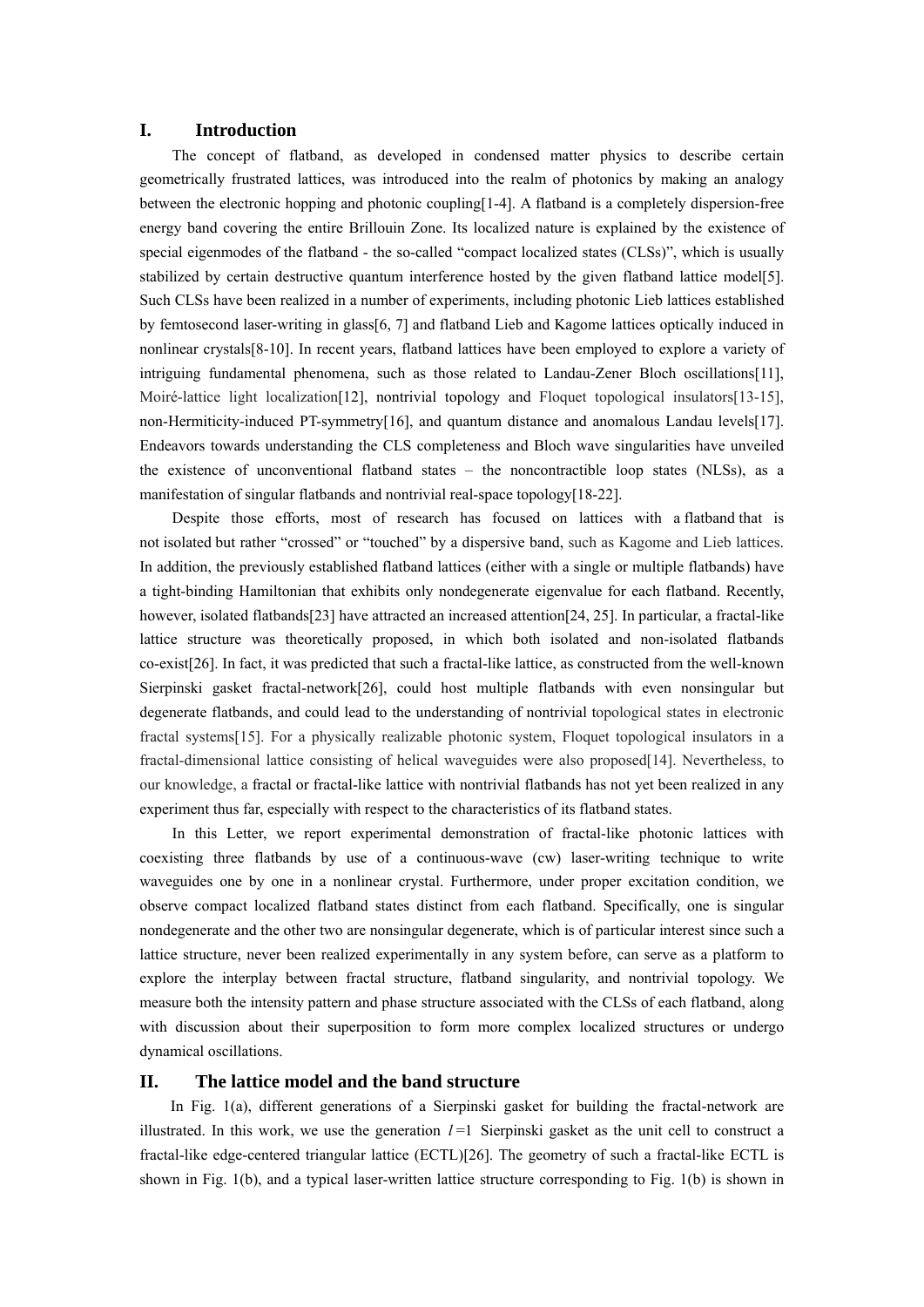#### **I. Introduction**

The concept of flatband, as developed in condensed matter physics to describe certain geometrically frustrated lattices, was introduced into the realm of photonics by making an analogy between the electronic hopping and photonic coupling[1-4]. A flatband is a completely dispersion-free energy band covering the entire Brillouin Zone. Its localized nature is explained by the existence of special eigenmodes of the flatband - the so-called "compact localized states (CLSs)", which is usually stabilized by certain destructive quantum interference hosted by the given flatband lattice model[5]. Such CLSs have been realized in a number of experiments, including photonic Lieb lattices established by femtosecond laser-writing in glass[6, 7] and flatband Lieb and Kagome lattices optically induced in nonlinear crystals[8-10]. In recent years, flatband lattices have been employed to explore a variety of intriguing fundamental phenomena, such as those related to Landau-Zener Bloch oscillations[11], Moiré-lattice light localization[12], nontrivial topology and Floquet topological insulators[13-15], non-Hermiticity-induced PT-symmetry[16], and quantum distance and anomalous Landau levels[17]. Endeavors towards understanding the CLS completeness and Bloch wave singularities have unveiled the existence of unconventional flatband states – the noncontractible loop states (NLSs), as a manifestation of singular flatbands and nontrivial real-space topology[18-22].

Despite those efforts, most of research has focused on lattices with a flatband that is not isolated but rather "crossed" or "touched" by a dispersive band, such as Kagome and Lieb lattices. In addition, the previously established flatband lattices (either with a single or multiple flatbands) have a tight-binding Hamiltonian that exhibits only nondegenerate eigenvalue for each flatband. Recently, however, isolated flatbands[23] have attracted an increased attention[24, 25]. In particular, a fractal-like lattice structure was theoretically proposed, in which both isolated and non-isolated flatbands co-exist[26]. In fact, it was predicted that such a fractal-like lattice, as constructed from the well-known Sierpinski gasket fractal-network[26], could host multiple flatbands with even nonsingular but degenerate flatbands, and could lead to the understanding of nontrivial topological states in electronic fractal systems[15]. For a physically realizable photonic system, Floquet topological insulators in a fractal-dimensional lattice consisting of helical waveguides were also proposed[14]. Nevertheless, to our knowledge, a fractal or fractal-like lattice with nontrivial flatbands has not yet been realized in any experiment thus far, especially with respect to the characteristics of its flatband states.

In this Letter, we report experimental demonstration of fractal-like photonic lattices with coexisting three flatbands by use of a continuous-wave (cw) laser-writing technique to write waveguides one by one in a nonlinear crystal. Furthermore, under proper excitation condition, we observe compact localized flatband states distinct from each flatband. Specifically, one is singular nondegenerate and the other two are nonsingular degenerate, which is of particular interest since such a lattice structure, never been realized experimentally in any system before, can serve as a platform to explore the interplay between fractal structure, flatband singularity, and nontrivial topology. We measure both the intensity pattern and phase structure associated with the CLSs of each flatband, along with discussion about their superposition to form more complex localized structures or undergo dynamical oscillations.

### **II. The lattice model and the band structure**

In Fig. 1(a), different generations of a Sierpinski gasket for building the fractal-network are illustrated. In this work, we use the generation  $l=1$  Sierpinski gasket as the unit cell to construct a fractal-like edge-centered triangular lattice (ECTL)[26]. The geometry of such a fractal-like ECTL is shown in Fig. 1(b), and a typical laser-written lattice structure corresponding to Fig. 1(b) is shown in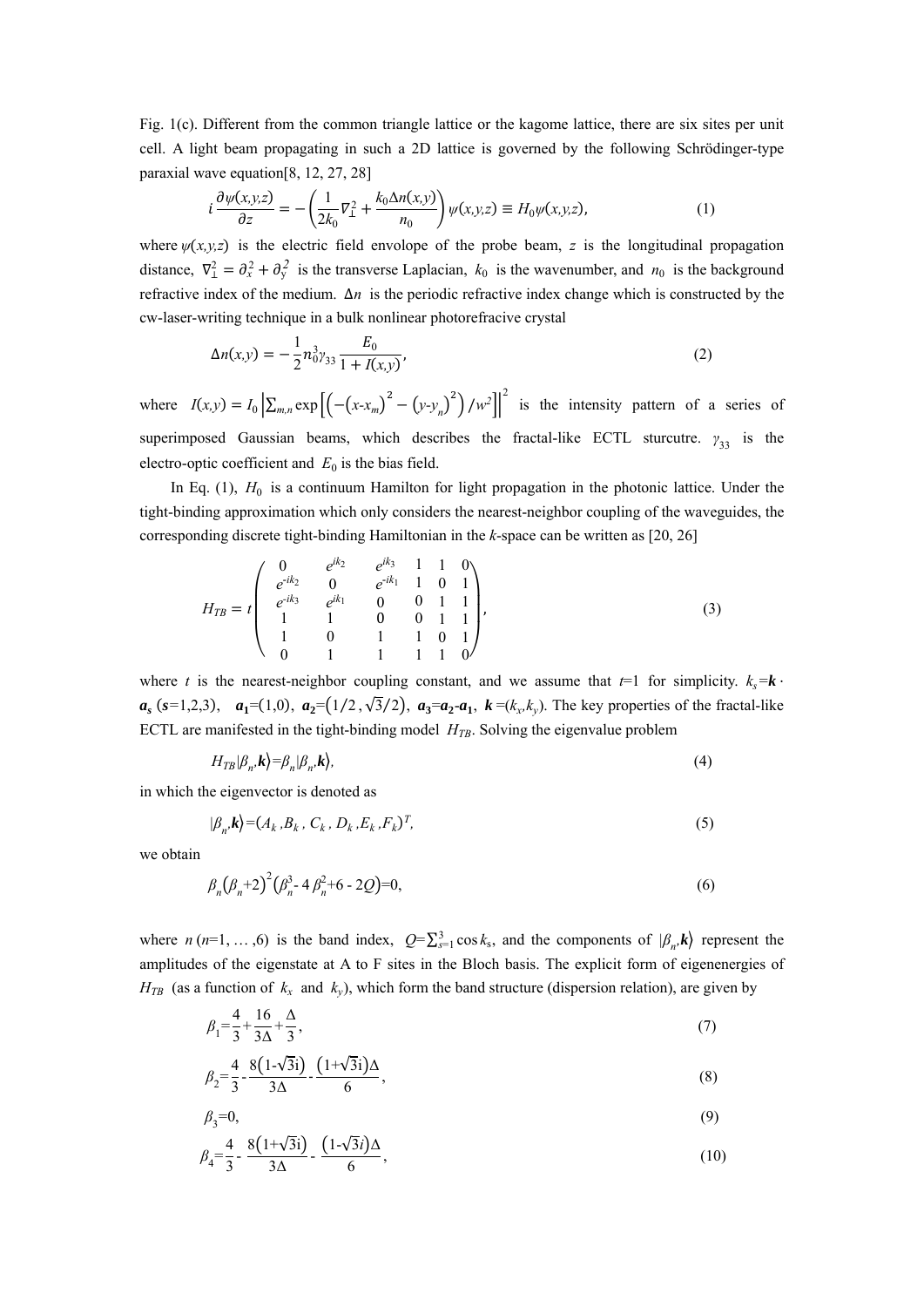Fig. 1(c). Different from the common triangle lattice or the kagome lattice, there are six sites per unit cell. A light beam propagating in such a 2D lattice is governed by the following Schrödinger-type paraxial wave equation[8, 12, 27, 28]

$$
i\frac{\partial\psi(x,y,z)}{\partial z} = -\left(\frac{1}{2k_0}\nabla^2_{\perp} + \frac{k_0\Delta n(x,y)}{n_0}\right)\psi(x,y,z) \equiv H_0\psi(x,y,z),\tag{1}
$$

where  $\psi(x, y, z)$  is the electric field envolope of the probe beam, *z* is the longitudinal propagation distance,  $\nabla^2_{\perp} = \partial_x^2 + \partial_y^2$  is the transverse Laplacian,  $k_0$  is the wavenumber, and  $n_0$  is the background refractive index of the medium. ∆*n* is the periodic refractive index change which is constructed by the cw-laser-writing technique in a bulk nonlinear photorefracive crystal

$$
\Delta n(x,y) = -\frac{1}{2}n_0^3 y_{33} \frac{E_0}{1 + I(x,y)},
$$
\n(2)

where  $I(x,y) = I_0 \left[ \sum_{m,n} \exp \left[ \left( -\left( x - x_m \right)^2 - \left( y - y_n \right)^2 \right) / w^2 \right] \right]^2$  is the intensity pattern of a series of superimposed Gaussian beams, which describes the fractal-like ECTL sturcutre.  $\gamma_{33}$  is the electro-optic coefficient and  $E_0$  is the bias field.

In Eq. (1),  $H_0$  is a continuum Hamilton for light propagation in the photonic lattice. Under the tight-binding approximation which only considers the nearest-neighbor coupling of the waveguides, the corresponding discrete tight-binding Hamiltonian in the *k*-space can be written as [20, 26]

$$
H_{TB} = t \begin{pmatrix} 0 & e^{ik_2} & e^{ik_3} & 1 & 1 & 0 \\ e^{-ik_2} & 0 & e^{-ik_1} & 1 & 0 & 1 \\ e^{-ik_3} & e^{ik_1} & 0 & 0 & 1 & 1 \\ 1 & 1 & 0 & 0 & 1 & 1 \\ 1 & 0 & 1 & 1 & 0 & 1 \\ 0 & 1 & 1 & 1 & 1 & 0 \end{pmatrix},
$$
\n(3)

where *t* is the nearest-neighbor coupling constant, and we assume that  $t=1$  for simplicity.  $k_s = k \cdot$  $a_s$  ( $s=1,2,3$ ),  $a_1=(1,0)$ ,  $a_2=(1/2,\sqrt{3}/2)$ ,  $a_3=a_2-a_1$ ,  $k=(k_x,k_y)$ . The key properties of the fractal-like ECTL are manifested in the tight-binding model  $H_{TB}$ . Solving the eigenvalue problem

$$
H_{TB}|\beta_n, \mathbf{k}\rangle = \beta_n |\beta_n, \mathbf{k}\rangle,\tag{4}
$$

in which the eigenvector is denoted as

$$
|\beta_n, \mathbf{k}\rangle = (A_k, B_k, C_k, D_k, E_k, F_k)^T,\tag{5}
$$

we obtain

$$
\beta_n (\beta_n + 2)^2 (\beta_n^3 - 4 \beta_n^2 + 6 - 2Q) = 0, \tag{6}
$$

where *n* (*n*=1, ...,6) is the band index,  $Q = \sum_{s=1}^{3} \cos k_s$ , and the components of  $|\beta_n, k\rangle$  represent the amplitudes of the eigenstate at A to F sites in the Bloch basis. The explicit form of eigenenergies of  $H_{TB}$  (as a function of  $k_x$  and  $k_y$ ), which form the band structure (dispersion relation), are given by

$$
\beta_1 = \frac{4}{3} + \frac{16}{3\Delta} + \frac{\Delta}{3},\tag{7}
$$

$$
\beta_2 = \frac{4}{3} - \frac{8(1-\sqrt{3}i)}{3\Delta} - \frac{(1+\sqrt{3}i)\Delta}{6},
$$
\n(8)

$$
\beta_3 = 0,\tag{9}
$$

$$
\beta_4 = \frac{4}{3} - \frac{8(1+\sqrt{3}i)}{3\Delta} - \frac{(1-\sqrt{3}i)\Delta}{6},\tag{10}
$$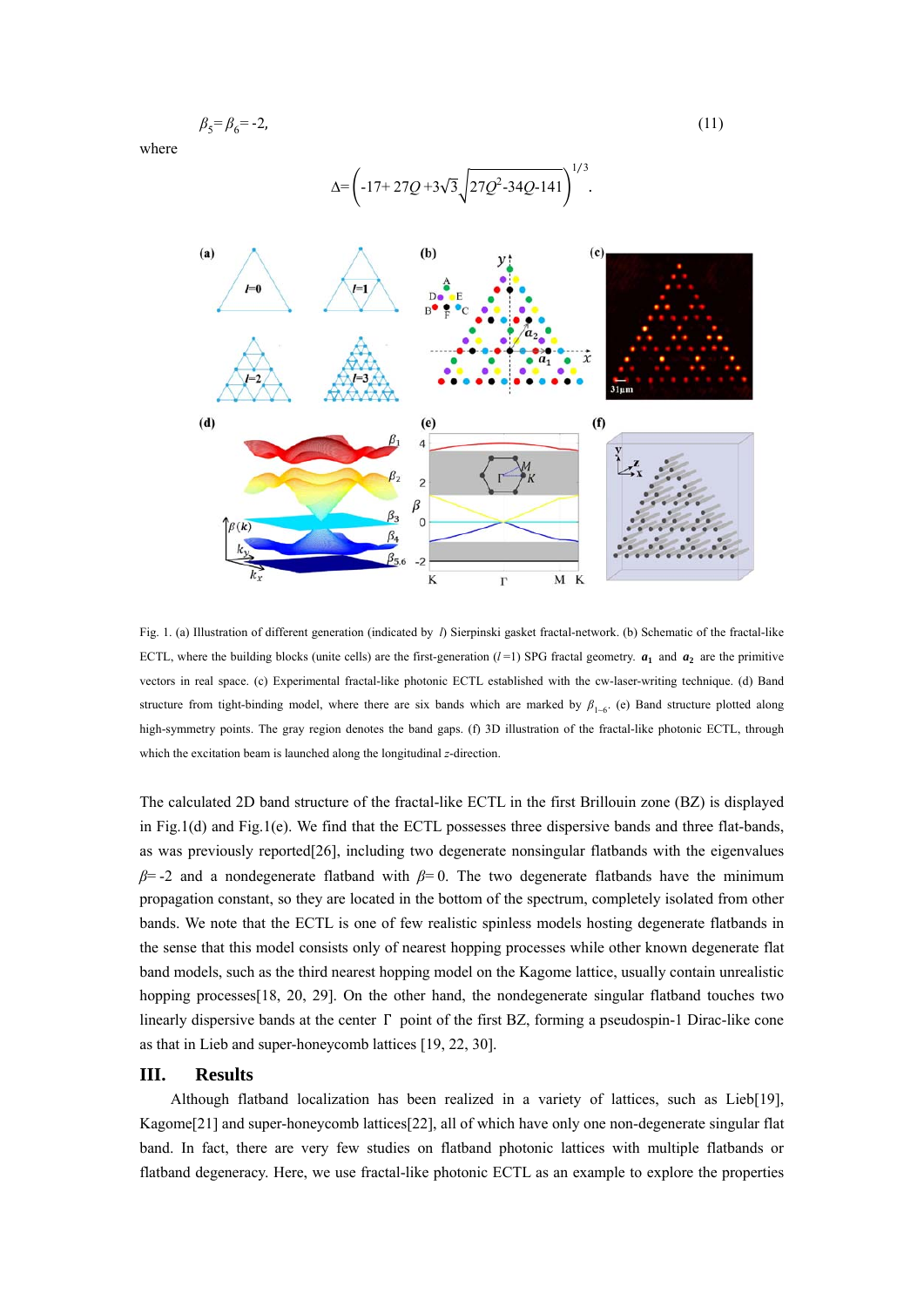$$
\beta_5 = \beta_6 = -2,\tag{11}
$$

 $1/3$ 

where



Fig. 1. (a) Illustration of different generation (indicated by *l*) Sierpinski gasket fractal-network. (b) Schematic of the fractal-like ECTL, where the building blocks (unite cells) are the first-generation  $(l=1)$  SPG fractal geometry.  $a_1$  and  $a_2$  are the primitive vectors in real space. (c) Experimental fractal-like photonic ECTL established with the cw-laser-writing technique. (d) Band structure from tight-binding model, where there are six bands which are marked by  $\beta_{1-6}$ . (e) Band structure plotted along high-symmetry points. The gray region denotes the band gaps. (f) 3D illustration of the fractal-like photonic ECTL, through which the excitation beam is launched along the longitudinal *z*-direction.

The calculated 2D band structure of the fractal-like ECTL in the first Brillouin zone (BZ) is displayed in Fig.1(d) and Fig.1(e). We find that the ECTL possesses three dispersive bands and three flat-bands, as was previously reported[26], including two degenerate nonsingular flatbands with the eigenvalues *β*= -2 and a nondegenerate flatband with *β*= 0. The two degenerate flatbands have the minimum propagation constant, so they are located in the bottom of the spectrum, completely isolated from other bands. We note that the ECTL is one of few realistic spinless models hosting degenerate flatbands in the sense that this model consists only of nearest hopping processes while other known degenerate flat band models, such as the third nearest hopping model on the Kagome lattice, usually contain unrealistic hopping processes [18, 20, 29]. On the other hand, the nondegenerate singular flatband touches two linearly dispersive bands at the center Γ point of the first BZ, forming a pseudospin-1 Dirac-like cone as that in Lieb and super-honeycomb lattices [19, 22, 30].

#### **III. Results**

Although flatband localization has been realized in a variety of lattices, such as Lieb[19], Kagome[21] and super-honeycomb lattices[22], all of which have only one non-degenerate singular flat band. In fact, there are very few studies on flatband photonic lattices with multiple flatbands or flatband degeneracy. Here, we use fractal-like photonic ECTL as an example to explore the properties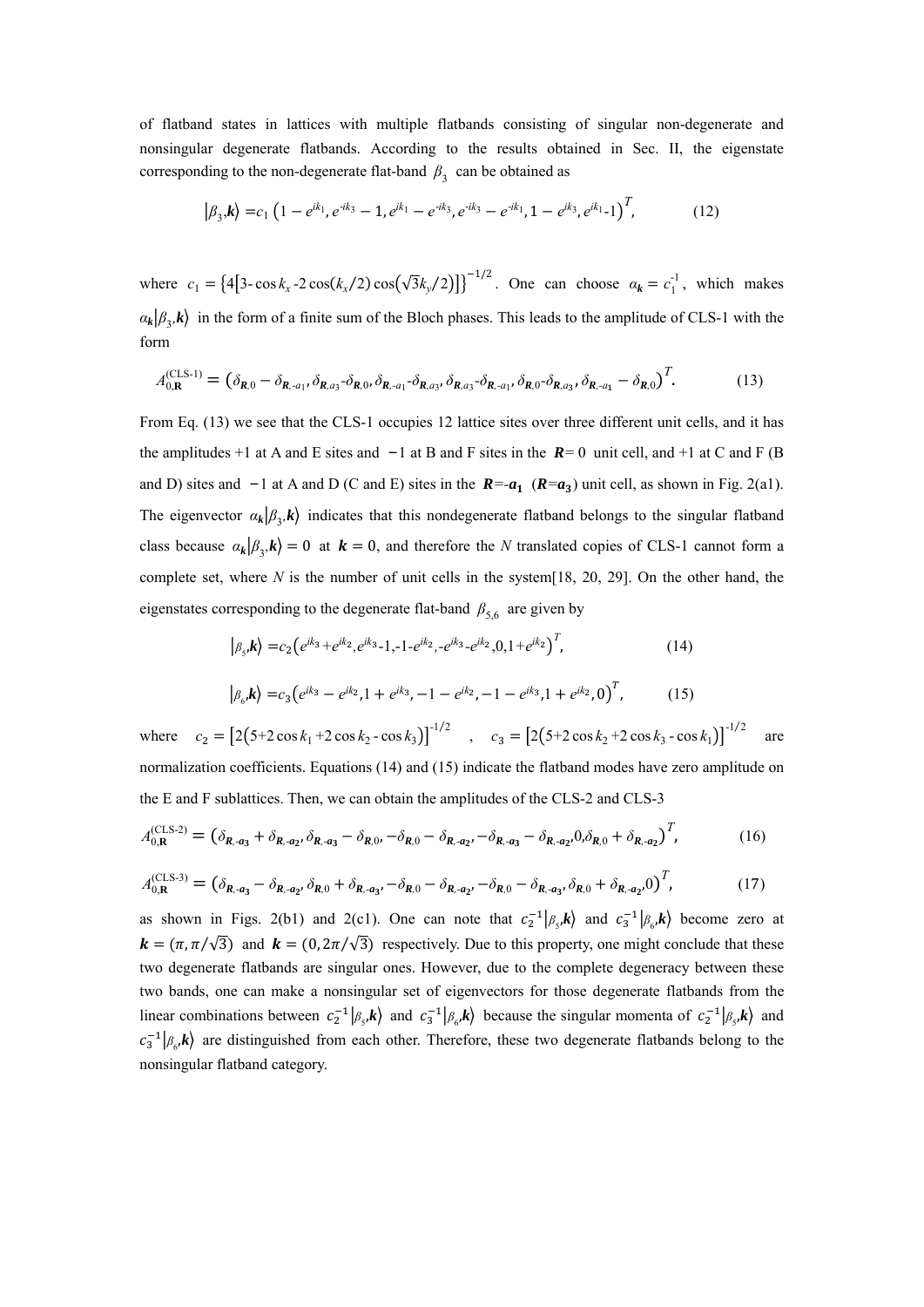of flatband states in lattices with multiple flatbands consisting of singular non-degenerate and nonsingular degenerate flatbands. According to the results obtained in Sec. II, the eigenstate corresponding to the non-degenerate flat-band  $\beta_3$  can be obtained as

$$
|\beta_{3},\mathbf{k}\rangle=c_{1}\left(1-e^{ik_{1}},e^{-ik_{3}}-1,e^{ik_{1}}-e^{-ik_{3}},e^{-ik_{3}}-e^{-ik_{1}},1-e^{ik_{3}},e^{ik_{1}}-1\right)^{T},\qquad(12)
$$

where  $c_1 = \{4[3-\cos k_x - 2\cos(k_x/2)\cos(\sqrt{3}k_y/2)]\}^{-1/2}$ . One can choose  $a_k = c_1^{-1}$ , which makes  $a_k | \beta_{\gamma,k} \rangle$  in the form of a finite sum of the Bloch phases. This leads to the amplitude of CLS-1 with the form

$$
A_{0,\mathbf{R}}^{(\text{CLS-1})} = (\delta_{\mathbf{R},0} - \delta_{\mathbf{R},a_{1}}, \delta_{\mathbf{R},a_{3}} - \delta_{\mathbf{R},0}, \delta_{\mathbf{R},a_{1}} - \delta_{\mathbf{R},a_{3}}, \delta_{\mathbf{R},a_{3}} - \delta_{\mathbf{R},a_{1}}, \delta_{\mathbf{R},0} - \delta_{\mathbf{R},a_{3}}, \delta_{\mathbf{R},a_{1}} - \delta_{\mathbf{R},0})^{T}.
$$
(13)

From Eq. (13) we see that the CLS-1 occupies 12 lattice sites over three different unit cells, and it has the amplitudes +1 at A and E sites and −1 at B and F sites in the *R=* 0 unit cell, and +1 at C and F (B and D) sites and −1 at A and D (C and E) sites in the *R=-a* (*R=a*) unit cell, as shown in Fig. 2(a1). The eigenvector  $\alpha_k | \beta_{3,k} \rangle$  indicates that this nondegenerate flatband belongs to the singular flatband class because  $\alpha_k | \beta_1, k \rangle = 0$  at  $\mathbf{k} = 0$ , and therefore the *N* translated copies of CLS-1 cannot form a complete set, where *N* is the number of unit cells in the system[18, 20, 29]. On the other hand, the eigenstates corresponding to the degenerate flat-band  $\beta_{5,6}$  are given by

$$
|\beta_{s}, \mathbf{k}\rangle = c_{2} \left(e^{ik_{3}} + e^{ik_{2}}, e^{ik_{3}} - 1, -1 - e^{ik_{2}}, -e^{ik_{3}} - e^{ik_{2}}, 0, 1 + e^{ik_{2}}\right)^{T},
$$
\n
$$
|\beta_{6}, \mathbf{k}\rangle = c_{3} \left(e^{ik_{3}} - e^{ik_{2}}, 1 + e^{ik_{3}}, -1 - e^{ik_{2}}, -1 - e^{ik_{3}}, 1 + e^{ik_{2}}, 0\right)^{T},
$$
\n(15)

where  $c_2 = [2(5+2\cos k_1 + 2\cos k_2 - \cos k_3)]^{-1/2}$ ,  $c_3 = [2(5+2\cos k_2 + 2\cos k_3 - \cos k_1)]^{-1/2}$ are normalization coefficients. Equations (14) and (15) indicate the flatband modes have zero amplitude on the E and F sublattices. Then, we can obtain the amplitudes of the CLS-2 and CLS-3

$$
A_{0,\mathbf{R}}^{(\text{CLS-2})} = (\delta_{\mathbf{R},\mathbf{a}_3} + \delta_{\mathbf{R},\mathbf{a}_2}, \delta_{\mathbf{R},\mathbf{a}_3} - \delta_{\mathbf{R},0}, -\delta_{\mathbf{R},0} - \delta_{\mathbf{R},\mathbf{a}_2}, -\delta_{\mathbf{R},\mathbf{a}_3} - \delta_{\mathbf{R},\mathbf{a}_2}, 0, \delta_{\mathbf{R},0} + \delta_{\mathbf{R},\mathbf{a}_2})^T, \tag{16}
$$

$$
A_{0,\mathbf{R}}^{(\text{CLS-3})} = (\delta_{\mathbf{R},\mathbf{a}_3} - \delta_{\mathbf{R},\mathbf{a}_2}, \delta_{\mathbf{R},0} + \delta_{\mathbf{R},\mathbf{a}_3}, -\delta_{\mathbf{R},0} - \delta_{\mathbf{R},\mathbf{a}_2}, -\delta_{\mathbf{R},0} - \delta_{\mathbf{R},\mathbf{a}_3}, \delta_{\mathbf{R},0} + \delta_{\mathbf{R},\mathbf{a}_2}, 0)^T, \tag{17}
$$

as shown in Figs. 2(b1) and 2(c1). One can note that  $c_2^{-1}|\beta_{s}, k\rangle$  and  $c_3^{-1}|\beta_{s}, k\rangle$  become zero at  $\mathbf{k} = (\pi, \pi/\sqrt{3})$  and  $\mathbf{k} = (0, 2\pi/\sqrt{3})$  respectively. Due to this property, one might conclude that these two degenerate flatbands are singular ones. However, due to the complete degeneracy between these two bands, one can make a nonsingular set of eigenvectors for those degenerate flatbands from the linear combinations between  $c_2^{-1} | \beta_{s} k \rangle$  and  $c_3^{-1} | \beta_{s} k \rangle$  because the singular momenta of  $c_2^{-1} | \beta_{s} k \rangle$  and  $c_3^{-1}$  $\vert \beta_{\epsilon}, \mathbf{k} \rangle$  are distinguished from each other. Therefore, these two degenerate flatbands belong to the nonsingular flatband category.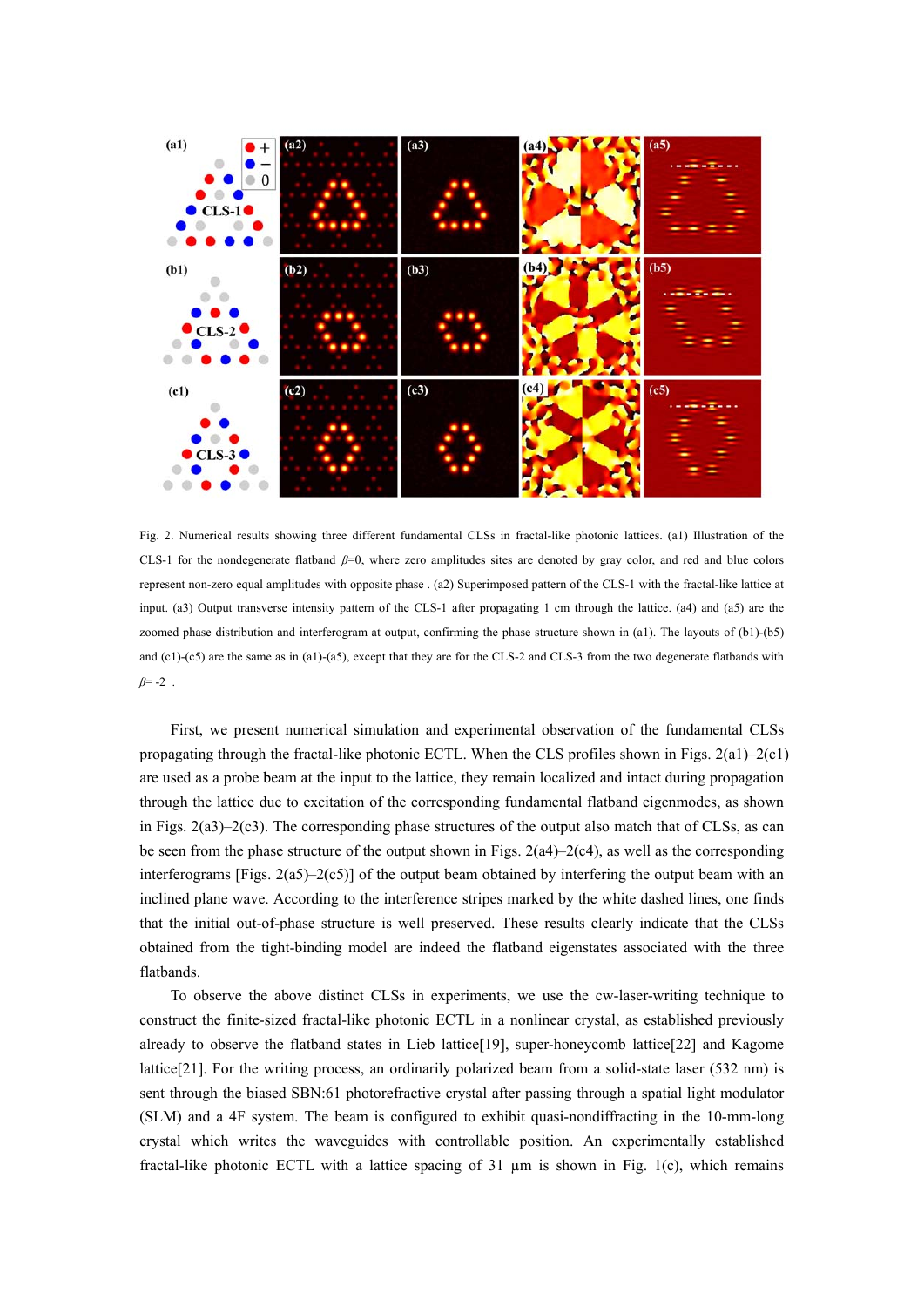

Fig. 2. Numerical results showing three different fundamental CLSs in fractal-like photonic lattices. (a1) Illustration of the CLS-1 for the nondegenerate flatband *β*=0, where zero amplitudes sites are denoted by gray color, and red and blue colors represent non-zero equal amplitudes with opposite phase . (a2) Superimposed pattern of the CLS-1 with the fractal-like lattice at input. (a3) Output transverse intensity pattern of the CLS-1 after propagating 1 cm through the lattice. (a4) and (a5) are the zoomed phase distribution and interferogram at output, confirming the phase structure shown in (a1). The layouts of (b1)-(b5) and  $(c1)$ - $(c5)$  are the same as in (a1)-(a5), except that they are for the CLS-2 and CLS-3 from the two degenerate flatbands with *β*= -2 .

First, we present numerical simulation and experimental observation of the fundamental CLSs propagating through the fractal-like photonic ECTL. When the CLS profiles shown in Figs.  $2(a1)-2(c1)$ are used as a probe beam at the input to the lattice, they remain localized and intact during propagation through the lattice due to excitation of the corresponding fundamental flatband eigenmodes, as shown in Figs. 2(a3)–2(c3). The corresponding phase structures of the output also match that of CLSs, as can be seen from the phase structure of the output shown in Figs.  $2(a4)-2(c4)$ , as well as the corresponding interferograms [Figs.  $2(a5)-2(c5)$ ] of the output beam obtained by interfering the output beam with an inclined plane wave. According to the interference stripes marked by the white dashed lines, one finds that the initial out-of-phase structure is well preserved. These results clearly indicate that the CLSs obtained from the tight-binding model are indeed the flatband eigenstates associated with the three flatbands.

To observe the above distinct CLSs in experiments, we use the cw-laser-writing technique to construct the finite-sized fractal-like photonic ECTL in a nonlinear crystal, as established previously already to observe the flatband states in Lieb lattice[19], super-honeycomb lattice[22] and Kagome lattice[21]. For the writing process, an ordinarily polarized beam from a solid-state laser (532 nm) is sent through the biased SBN:61 photorefractive crystal after passing through a spatial light modulator (SLM) and a 4F system. The beam is configured to exhibit quasi-nondiffracting in the 10-mm-long crystal which writes the waveguides with controllable position. An experimentally established fractal-like photonic ECTL with a lattice spacing of 31  $\mu$ m is shown in Fig. 1(c), which remains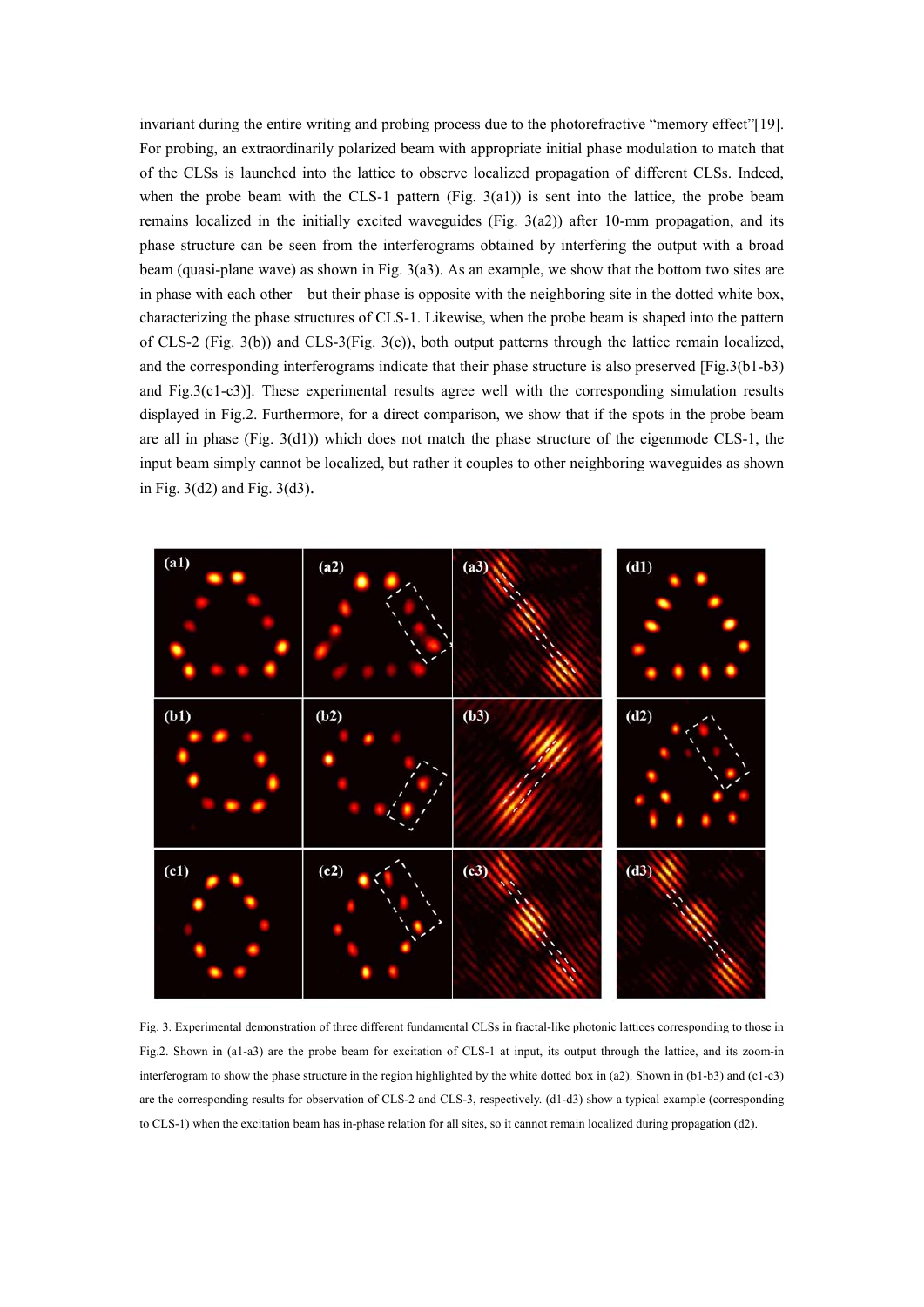invariant during the entire writing and probing process due to the photorefractive "memory effect"[19]. For probing, an extraordinarily polarized beam with appropriate initial phase modulation to match that of the CLSs is launched into the lattice to observe localized propagation of different CLSs. Indeed, when the probe beam with the CLS-1 pattern (Fig.  $3(a1)$ ) is sent into the lattice, the probe beam remains localized in the initially excited waveguides (Fig. 3(a2)) after 10-mm propagation, and its phase structure can be seen from the interferograms obtained by interfering the output with a broad beam (quasi-plane wave) as shown in Fig. 3(a3). As an example, we show that the bottom two sites are in phase with each other but their phase is opposite with the neighboring site in the dotted white box, characterizing the phase structures of CLS-1. Likewise, when the probe beam is shaped into the pattern of CLS-2 (Fig. 3(b)) and CLS-3(Fig. 3(c)), both output patterns through the lattice remain localized, and the corresponding interferograms indicate that their phase structure is also preserved [Fig.3(b1-b3) and Fig.3(c1-c3)]. These experimental results agree well with the corresponding simulation results displayed in Fig.2. Furthermore, for a direct comparison, we show that if the spots in the probe beam are all in phase  $(Fig. 3(d1))$  which does not match the phase structure of the eigenmode CLS-1, the input beam simply cannot be localized, but rather it couples to other neighboring waveguides as shown in Fig. 3(d2) and Fig. 3(d3).



Fig. 3. Experimental demonstration of three different fundamental CLSs in fractal-like photonic lattices corresponding to those in Fig.2. Shown in (a1-a3) are the probe beam for excitation of CLS-1 at input, its output through the lattice, and its zoom-in interferogram to show the phase structure in the region highlighted by the white dotted box in (a2). Shown in (b1-b3) and (c1-c3) are the corresponding results for observation of CLS-2 and CLS-3, respectively. (d1-d3) show a typical example (corresponding to CLS-1) when the excitation beam has in-phase relation for all sites, so it cannot remain localized during propagation (d2).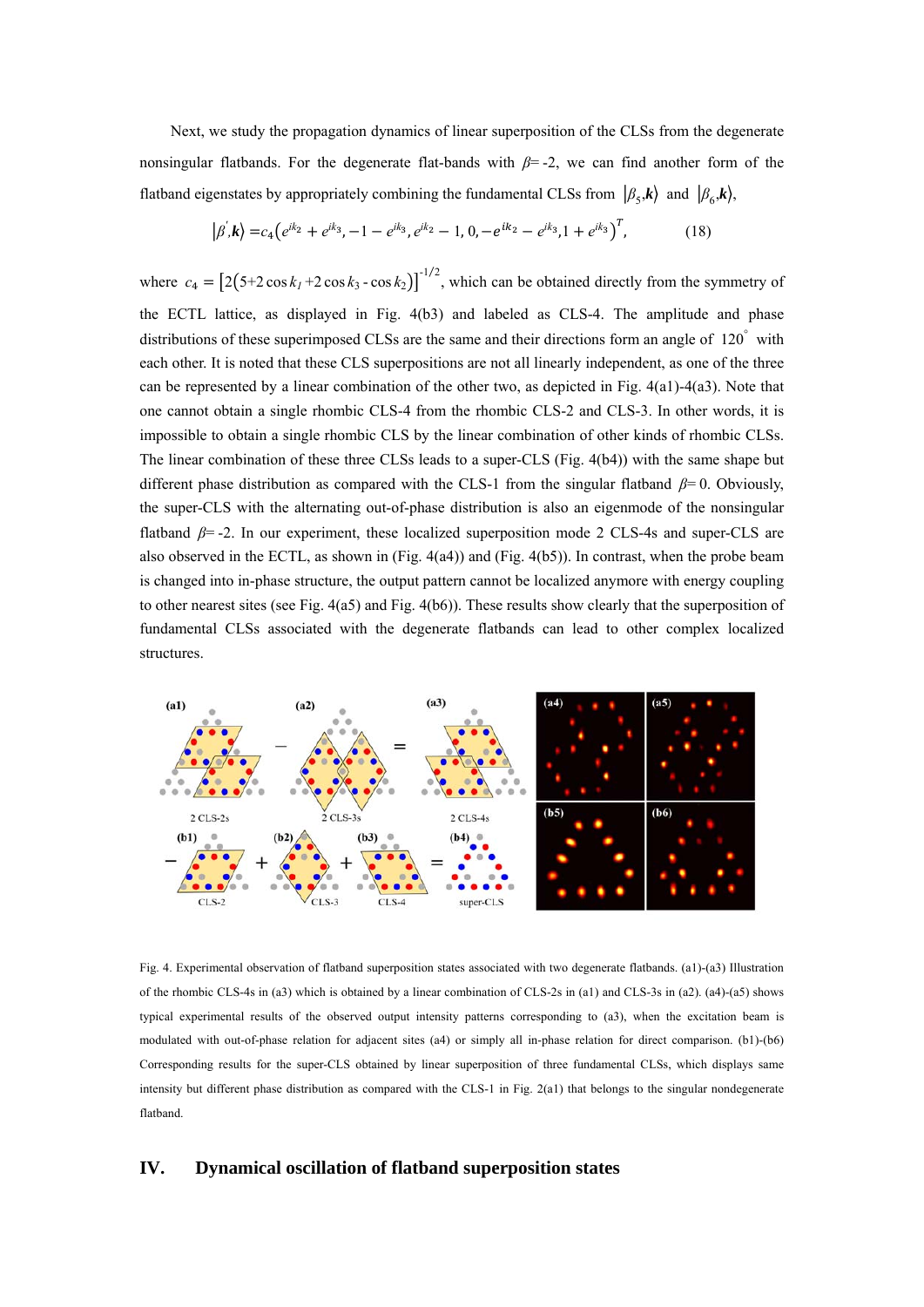Next, we study the propagation dynamics of linear superposition of the CLSs from the degenerate nonsingular flatbands. For the degenerate flat-bands with *β*= -2, we can find another form of the flatband eigenstates by appropriately combining the fundamental CLSs from  $\left|\beta_{5},k\right\rangle$  and  $\left|\beta_{6},k\right\rangle$ ,

$$
|\beta^{'},\mathbf{k}\rangle = c_4 \left(e^{ik_2} + e^{ik_3}, -1 - e^{ik_3}, e^{ik_2} - 1, 0, -e^{ik_2} - e^{ik_3}, 1 + e^{ik_3}\right)^T, \tag{18}
$$

where  $c_4 = \left[2(5+2\cos k_1 + 2\cos k_3 - \cos k_2)\right]^{-1/2}$ , which can be obtained directly from the symmetry of the ECTL lattice, as displayed in Fig. 4(b3) and labeled as CLS-4. The amplitude and phase distributions of these superimposed CLSs are the same and their directions form an angle of 120° with each other. It is noted that these CLS superpositions are not all linearly independent, as one of the three can be represented by a linear combination of the other two, as depicted in Fig. 4(a1)-4(a3). Note that one cannot obtain a single rhombic CLS-4 from the rhombic CLS-2 and CLS-3. In other words, it is impossible to obtain a single rhombic CLS by the linear combination of other kinds of rhombic CLSs. The linear combination of these three CLSs leads to a super-CLS (Fig. 4(b4)) with the same shape but different phase distribution as compared with the CLS-1 from the singular flatband *β*= 0. Obviously, the super-CLS with the alternating out-of-phase distribution is also an eigenmode of the nonsingular flatband *β*= -2. In our experiment, these localized superposition mode 2 CLS-4s and super-CLS are also observed in the ECTL, as shown in (Fig. 4(a4)) and (Fig. 4(b5)). In contrast, when the probe beam is changed into in-phase structure, the output pattern cannot be localized anymore with energy coupling to other nearest sites (see Fig. 4(a5) and Fig. 4(b6)). These results show clearly that the superposition of fundamental CLSs associated with the degenerate flatbands can lead to other complex localized structures.



Fig. 4. Experimental observation of flatband superposition states associated with two degenerate flatbands. (a1)-(a3) Illustration of the rhombic CLS-4s in (a3) which is obtained by a linear combination of CLS-2s in (a1) and CLS-3s in (a2). (a4)-(a5) shows typical experimental results of the observed output intensity patterns corresponding to (a3), when the excitation beam is modulated with out-of-phase relation for adjacent sites (a4) or simply all in-phase relation for direct comparison. (b1)-(b6) Corresponding results for the super-CLS obtained by linear superposition of three fundamental CLSs, which displays same intensity but different phase distribution as compared with the CLS-1 in Fig. 2(a1) that belongs to the singular nondegenerate flatband.

#### **IV. Dynamical oscillation of flatband superposition states**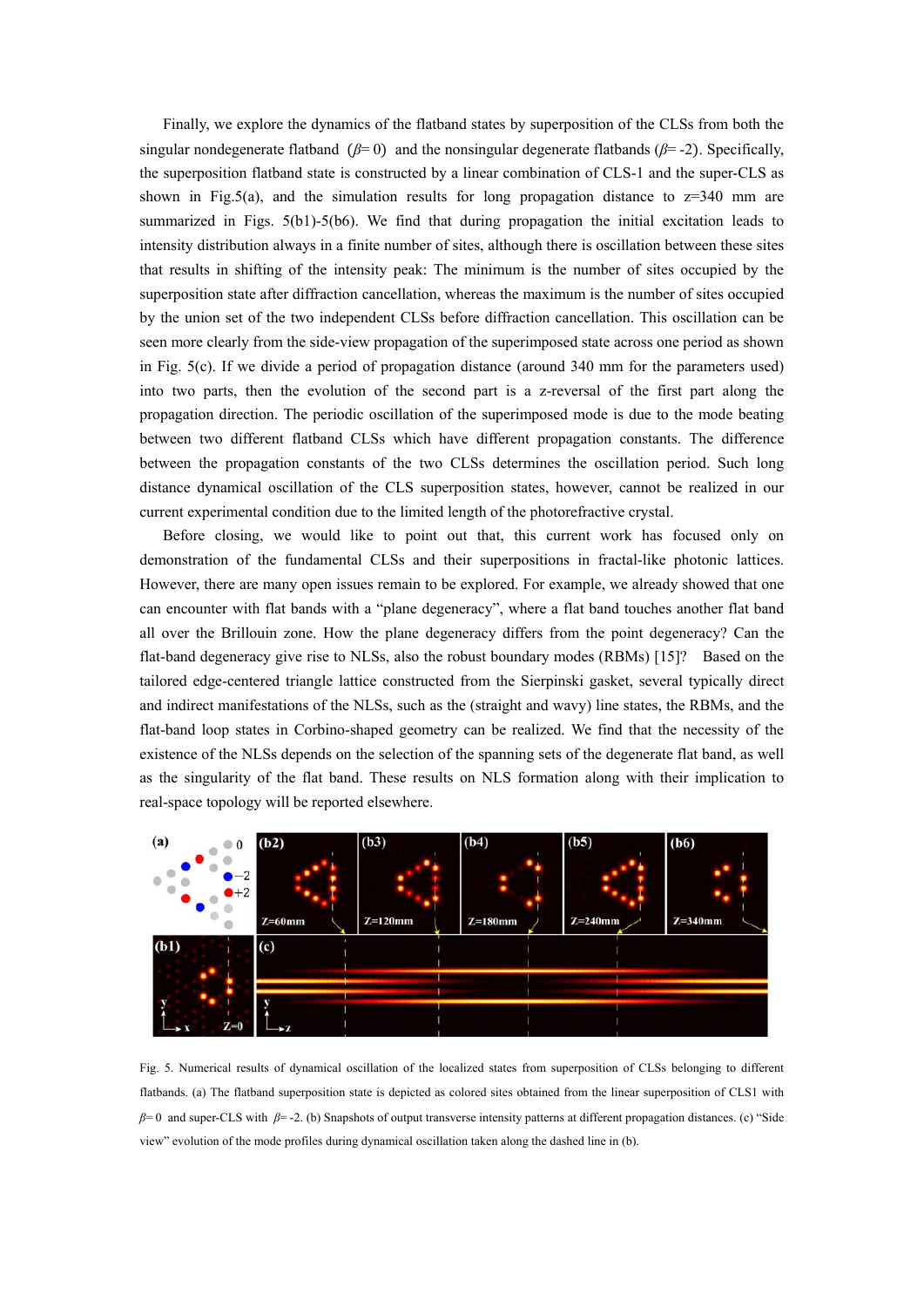Finally, we explore the dynamics of the flatband states by superposition of the CLSs from both the singular nondegenerate flatband  $(β=0)$  and the nonsingular degenerate flatbands  $(β=2)$ . Specifically, the superposition flatband state is constructed by a linear combination of CLS-1 and the super-CLS as shown in Fig.5(a), and the simulation results for long propagation distance to  $z=340$  mm are summarized in Figs. 5(b1)-5(b6). We find that during propagation the initial excitation leads to intensity distribution always in a finite number of sites, although there is oscillation between these sites that results in shifting of the intensity peak: The minimum is the number of sites occupied by the superposition state after diffraction cancellation, whereas the maximum is the number of sites occupied by the union set of the two independent CLSs before diffraction cancellation. This oscillation can be seen more clearly from the side-view propagation of the superimposed state across one period as shown in Fig. 5(c). If we divide a period of propagation distance (around 340 mm for the parameters used) into two parts, then the evolution of the second part is a z-reversal of the first part along the propagation direction. The periodic oscillation of the superimposed mode is due to the mode beating between two different flatband CLSs which have different propagation constants. The difference between the propagation constants of the two CLSs determines the oscillation period. Such long distance dynamical oscillation of the CLS superposition states, however, cannot be realized in our current experimental condition due to the limited length of the photorefractive crystal.

Before closing, we would like to point out that, this current work has focused only on demonstration of the fundamental CLSs and their superpositions in fractal-like photonic lattices. However, there are many open issues remain to be explored. For example, we already showed that one can encounter with flat bands with a "plane degeneracy", where a flat band touches another flat band all over the Brillouin zone. How the plane degeneracy differs from the point degeneracy? Can the flat-band degeneracy give rise to NLSs, also the robust boundary modes (RBMs) [15]? Based on the tailored edge-centered triangle lattice constructed from the Sierpinski gasket, several typically direct and indirect manifestations of the NLSs, such as the (straight and wavy) line states, the RBMs, and the flat-band loop states in Corbino-shaped geometry can be realized. We find that the necessity of the existence of the NLSs depends on the selection of the spanning sets of the degenerate flat band, as well as the singularity of the flat band. These results on NLS formation along with their implication to real-space topology will be reported elsewhere.



Fig. 5. Numerical results of dynamical oscillation of the localized states from superposition of CLSs belonging to different flatbands. (a) The flatband superposition state is depicted as colored sites obtained from the linear superposition of CLS1 with *β*= 0 and super-CLS with *β*= -2. (b) Snapshots of output transverse intensity patterns at different propagation distances. (c) "Side view" evolution of the mode profiles during dynamical oscillation taken along the dashed line in (b).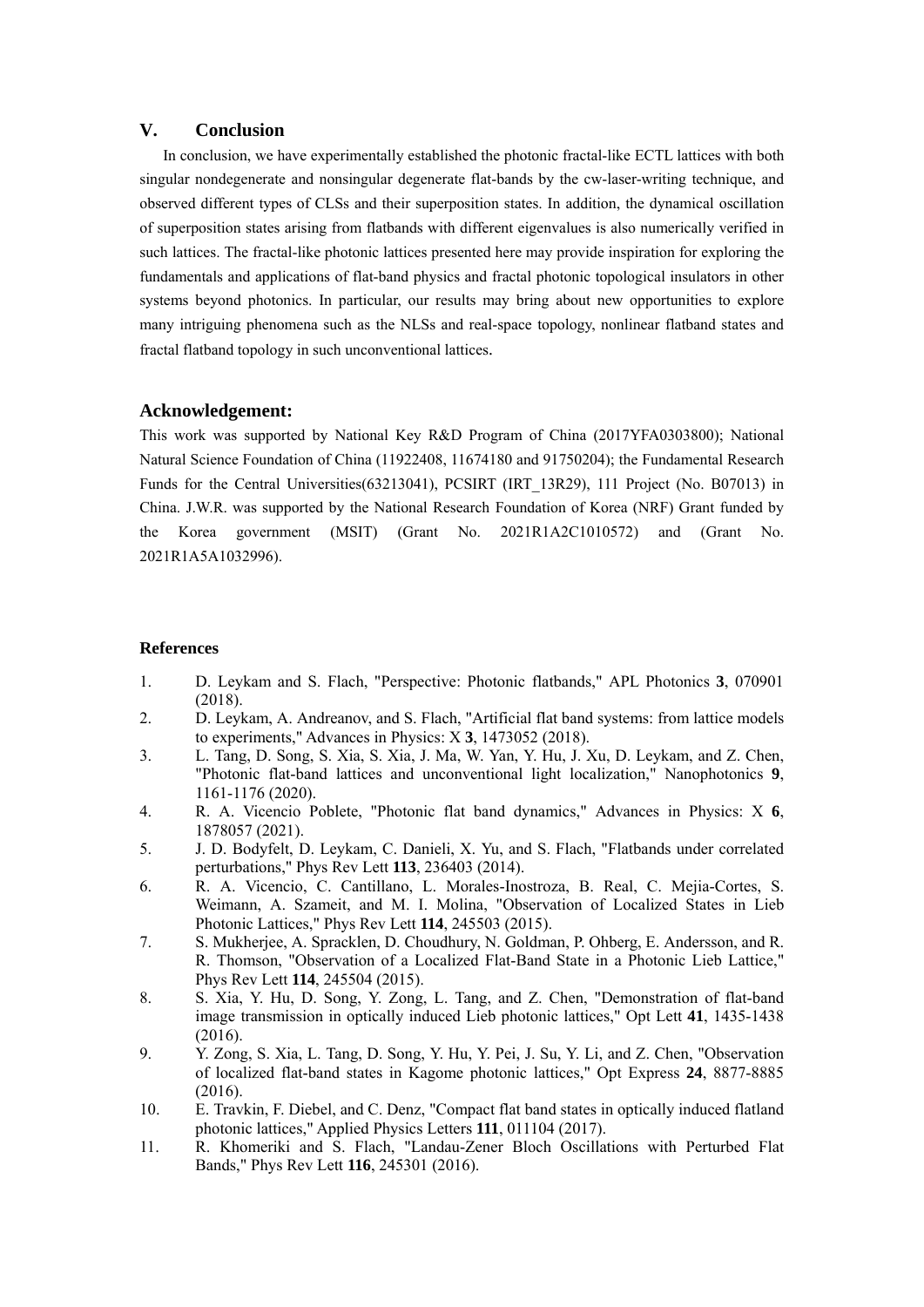## **V. Conclusion**

In conclusion, we have experimentally established the photonic fractal-like ECTL lattices with both singular nondegenerate and nonsingular degenerate flat-bands by the cw-laser-writing technique, and observed different types of CLSs and their superposition states. In addition, the dynamical oscillation of superposition states arising from flatbands with different eigenvalues is also numerically verified in such lattices. The fractal-like photonic lattices presented here may provide inspiration for exploring the fundamentals and applications of flat-band physics and fractal photonic topological insulators in other systems beyond photonics. In particular, our results may bring about new opportunities to explore many intriguing phenomena such as the NLSs and real-space topology, nonlinear flatband states and fractal flatband topology in such unconventional lattices.

## **Acknowledgement:**

This work was supported by National Key R&D Program of China (2017YFA0303800); National Natural Science Foundation of China (11922408, 11674180 and 91750204); the Fundamental Research Funds for the Central Universities(63213041), PCSIRT (IRT\_13R29), 111 Project (No. B07013) in China. J.W.R. was supported by the National Research Foundation of Korea (NRF) Grant funded by the Korea government (MSIT) (Grant No. 2021R1A2C1010572) and (Grant No. 2021R1A5A1032996).

## **References**

- 1. D. Leykam and S. Flach, "Perspective: Photonic flatbands," APL Photonics **3**, 070901 (2018).
- 2. D. Leykam, A. Andreanov, and S. Flach, "Artificial flat band systems: from lattice models to experiments," Advances in Physics: X **3**, 1473052 (2018).
- 3. L. Tang, D. Song, S. Xia, S. Xia, J. Ma, W. Yan, Y. Hu, J. Xu, D. Leykam, and Z. Chen, "Photonic flat-band lattices and unconventional light localization," Nanophotonics **9**, 1161-1176 (2020).
- 4. R. A. Vicencio Poblete, "Photonic flat band dynamics," Advances in Physics: X **6**, 1878057 (2021).
- 5. J. D. Bodyfelt, D. Leykam, C. Danieli, X. Yu, and S. Flach, "Flatbands under correlated perturbations," Phys Rev Lett **113**, 236403 (2014).
- 6. R. A. Vicencio, C. Cantillano, L. Morales-Inostroza, B. Real, C. Mejia-Cortes, S. Weimann, A. Szameit, and M. I. Molina, "Observation of Localized States in Lieb Photonic Lattices," Phys Rev Lett **114**, 245503 (2015).
- 7. S. Mukherjee, A. Spracklen, D. Choudhury, N. Goldman, P. Ohberg, E. Andersson, and R. R. Thomson, "Observation of a Localized Flat-Band State in a Photonic Lieb Lattice," Phys Rev Lett **114**, 245504 (2015).
- 8. S. Xia, Y. Hu, D. Song, Y. Zong, L. Tang, and Z. Chen, "Demonstration of flat-band image transmission in optically induced Lieb photonic lattices," Opt Lett **41**, 1435-1438 (2016).
- 9. Y. Zong, S. Xia, L. Tang, D. Song, Y. Hu, Y. Pei, J. Su, Y. Li, and Z. Chen, "Observation of localized flat-band states in Kagome photonic lattices," Opt Express **24**, 8877-8885 (2016).
- 10. E. Travkin, F. Diebel, and C. Denz, "Compact flat band states in optically induced flatland photonic lattices," Applied Physics Letters **111**, 011104 (2017).
- 11. R. Khomeriki and S. Flach, "Landau-Zener Bloch Oscillations with Perturbed Flat Bands," Phys Rev Lett **116**, 245301 (2016).